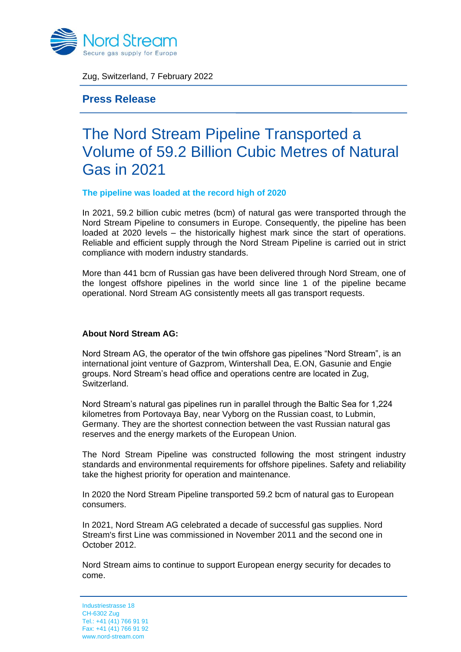

Zug, Switzerland, 7 February 2022

**Press Release**

## The Nord Stream Pipeline Transported a Volume of 59.2 Billion Cubic Metres of Natural Gas in 2021

## **The pipeline was loaded at the record high of 2020**

In 2021, 59.2 billion cubic metres (bcm) of natural gas were transported through the Nord Stream Pipeline to consumers in Europe. Consequently, the pipeline has been loaded at 2020 levels – the historically highest mark since the start of operations. Reliable and efficient supply through the Nord Stream Pipeline is carried out in strict compliance with modern industry standards.

More than 441 bcm of Russian gas have been delivered through Nord Stream, one of the longest offshore pipelines in the world since line 1 of the pipeline became operational. Nord Stream AG consistently meets all gas transport requests.

## **About Nord Stream AG:**

Nord Stream AG, the operator of the twin offshore gas pipelines "Nord Stream", is an international joint venture of Gazprom, Wintershall Dea, E.ON, Gasunie and Engie groups. Nord Stream's head office and operations centre are located in Zug, Switzerland.

Nord Stream's natural gas pipelines run in parallel through the Baltic Sea for 1,224 kilometres from Portovaya Bay, near Vyborg on the Russian coast, to Lubmin, Germany. They are the shortest connection between the vast Russian natural gas reserves and the energy markets of the European Union.

The Nord Stream Pipeline was constructed following the most stringent industry standards and environmental requirements for offshore pipelines. Safety and reliability take the highest priority for operation and maintenance.

In 2020 the Nord Stream Pipeline transported 59.2 bcm of natural gas to European consumers.

In 2021, Nord Stream AG celebrated a decade of successful gas supplies. Nord Stream's first Line was commissioned in November 2011 and the second one in October 2012.

Nord Stream aims to continue to support European energy security for decades to come.